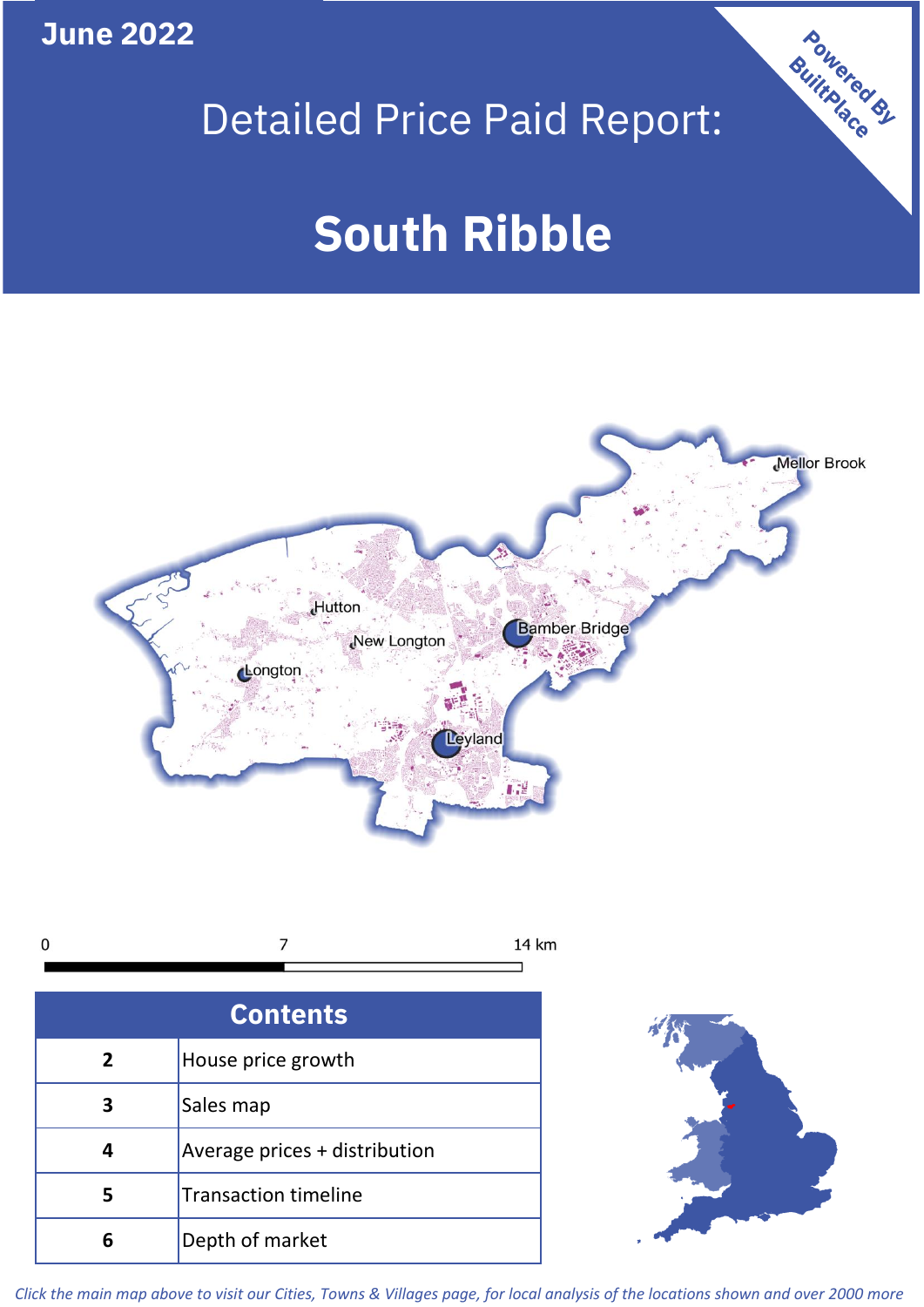**June 2022**

## Detailed Price Paid Report:

# **South Ribble**



 $\overline{7}$  $\mathbf 0$ 14 km

| <b>Contents</b> |                               |  |  |
|-----------------|-------------------------------|--|--|
| $\overline{2}$  | House price growth            |  |  |
| 3               | Sales map                     |  |  |
|                 | Average prices + distribution |  |  |
| 5               | <b>Transaction timeline</b>   |  |  |
| 6               | Depth of market               |  |  |



Powered By

*Click the main map above to visit our Cities, Towns & Villages page, for local analysis of the locations shown and over 2000 more*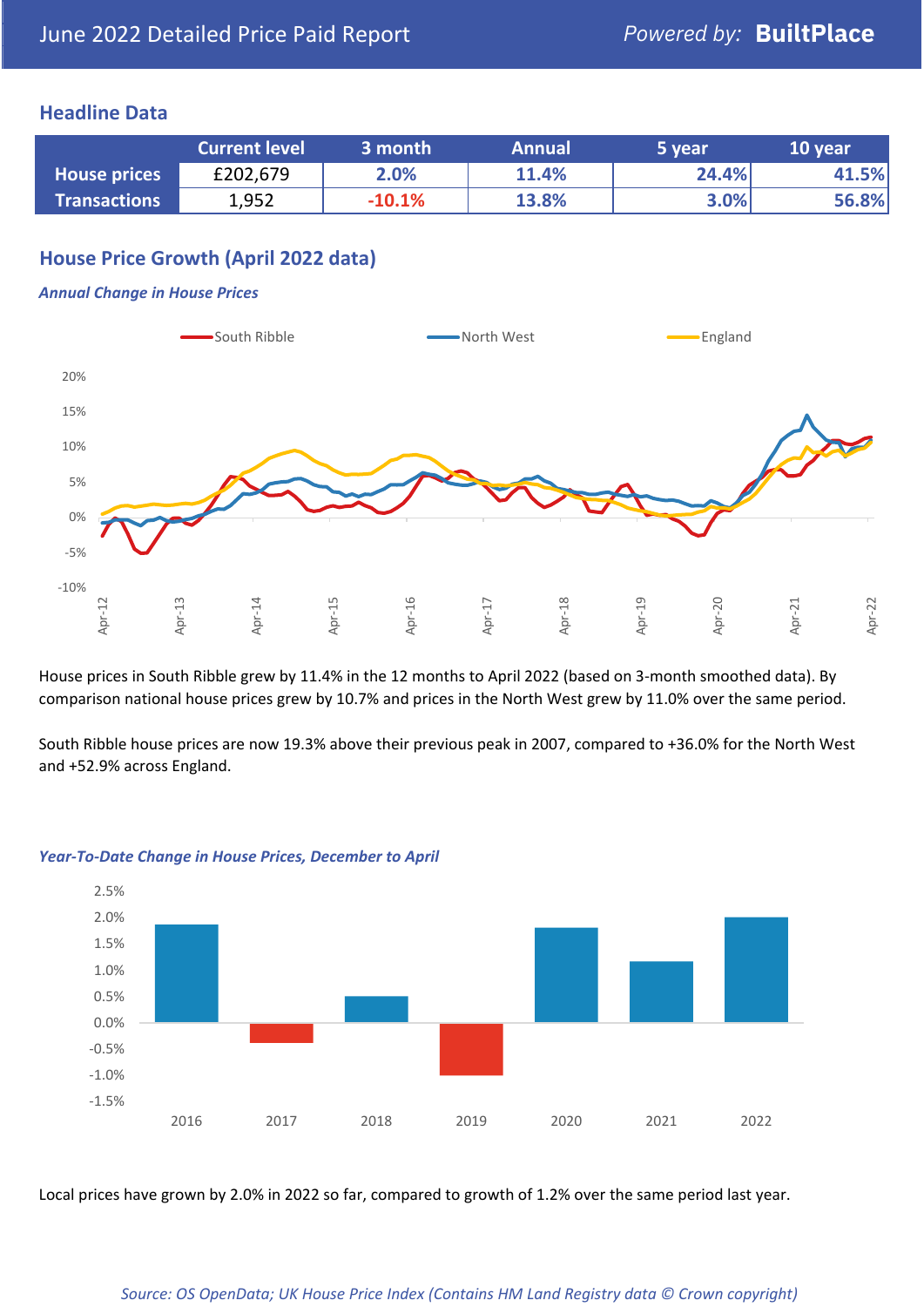### **Headline Data**

|                     | <b>Current level</b> | 3 month  | <b>Annual</b> | 5 year | 10 year |
|---------------------|----------------------|----------|---------------|--------|---------|
| <b>House prices</b> | £202,679             | 2.0%     | 11.4%         | 24.4%  | 41.5%   |
| <b>Transactions</b> | 1,952                | $-10.1%$ | 13.8%         | 3.0%   | 56.8%   |

## **House Price Growth (April 2022 data)**

#### *Annual Change in House Prices*



House prices in South Ribble grew by 11.4% in the 12 months to April 2022 (based on 3-month smoothed data). By comparison national house prices grew by 10.7% and prices in the North West grew by 11.0% over the same period.

South Ribble house prices are now 19.3% above their previous peak in 2007, compared to +36.0% for the North West and +52.9% across England.



#### *Year-To-Date Change in House Prices, December to April*

Local prices have grown by 2.0% in 2022 so far, compared to growth of 1.2% over the same period last year.

#### *Source: OS OpenData; UK House Price Index (Contains HM Land Registry data © Crown copyright)*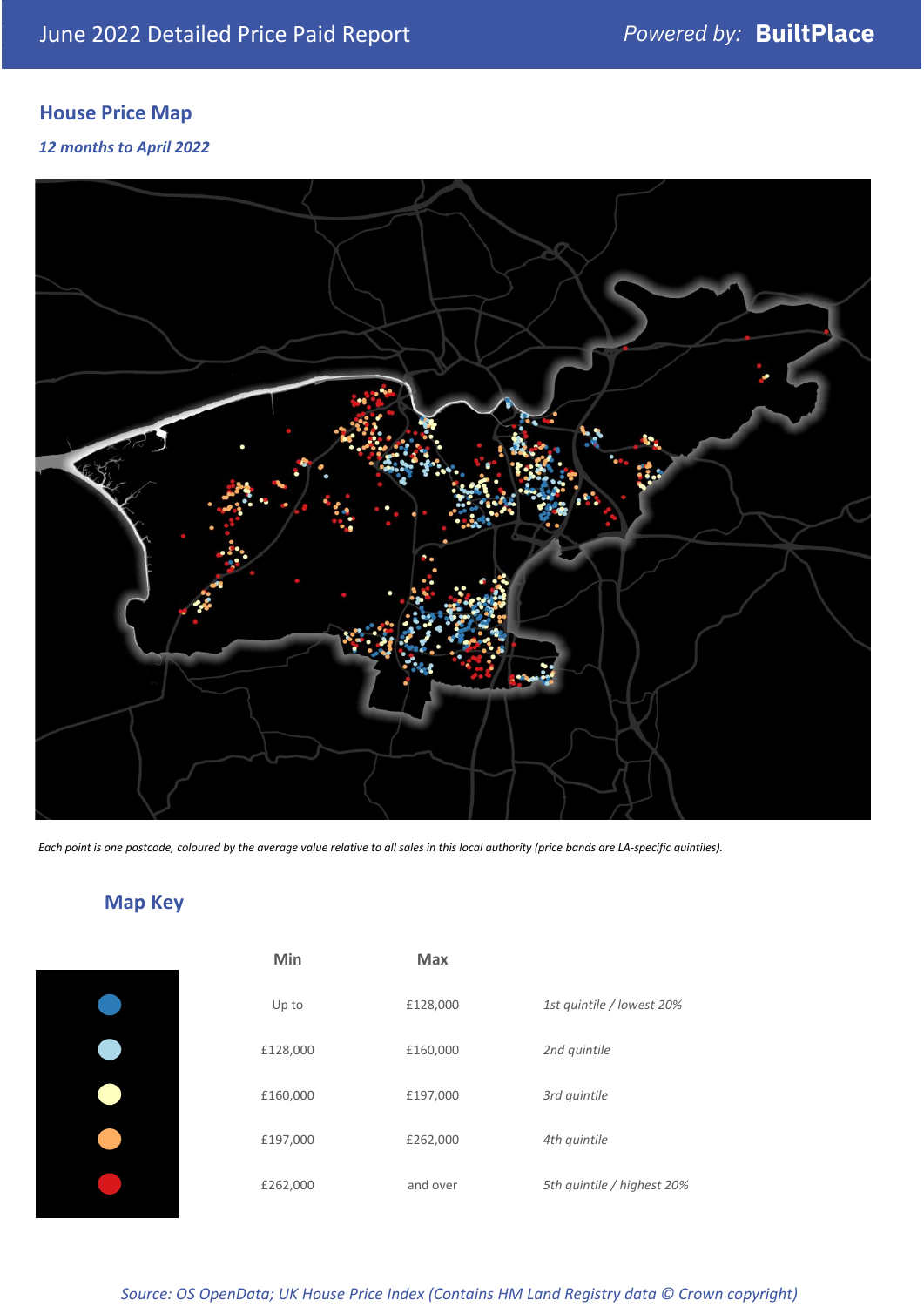## **House Price Map**

*12 months to April 2022*



*Each point is one postcode, coloured by the average value relative to all sales in this local authority (price bands are LA-specific quintiles).*

## **Map Key**

| 1st quintile / lowest 20%  |
|----------------------------|
|                            |
|                            |
|                            |
| 5th quintile / highest 20% |
|                            |

*Source: OS OpenData; UK House Price Index (Contains HM Land Registry data © Crown copyright)*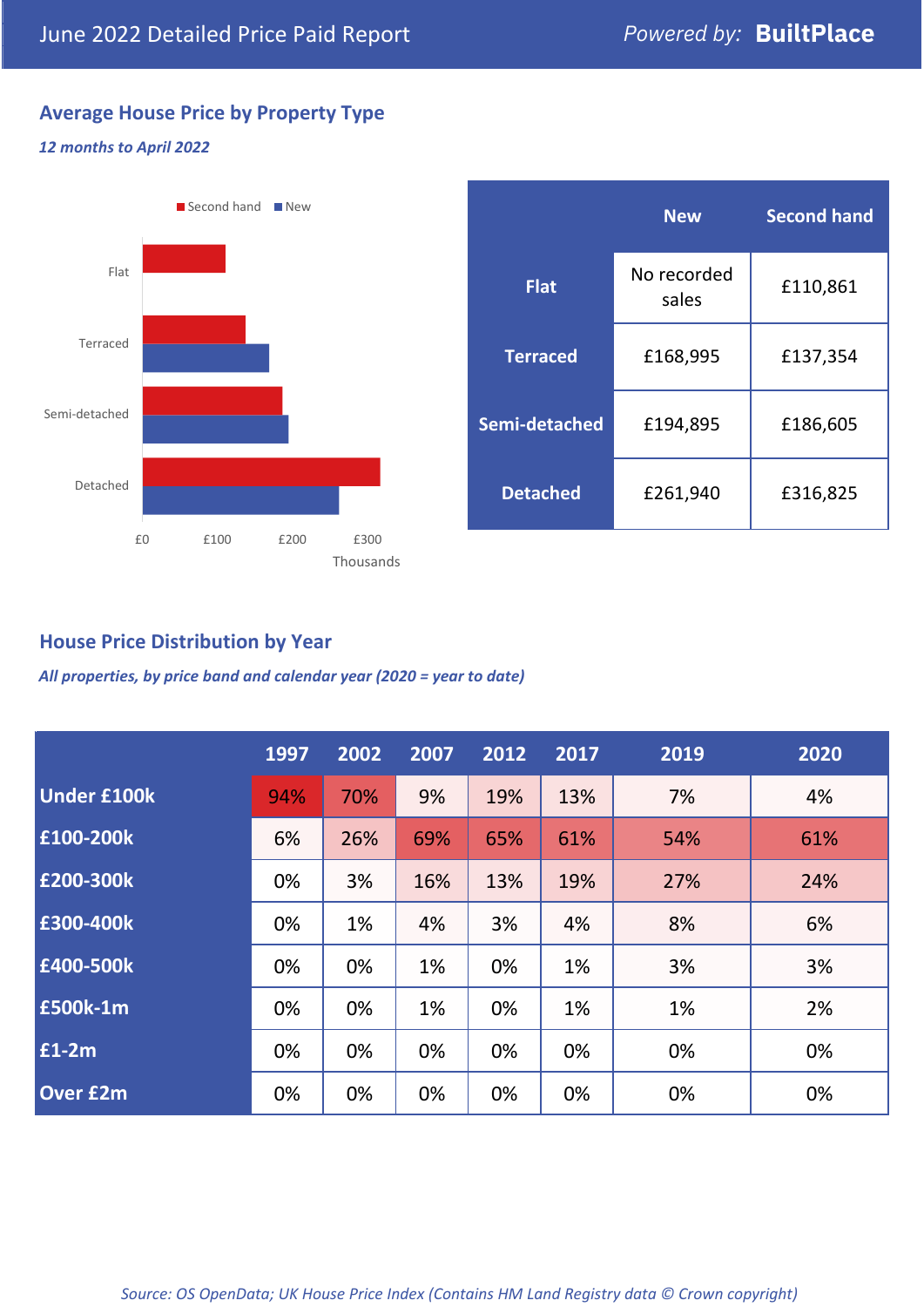## **Average House Price by Property Type**

#### *12 months to April 2022*



|                 | <b>New</b>           | <b>Second hand</b> |  |  |
|-----------------|----------------------|--------------------|--|--|
| <b>Flat</b>     | No recorded<br>sales | £110,861           |  |  |
| <b>Terraced</b> | £168,995             | £137,354           |  |  |
| Semi-detached   | £194,895             | £186,605           |  |  |
| <b>Detached</b> | £261,940             | £316,825           |  |  |

## **House Price Distribution by Year**

*All properties, by price band and calendar year (2020 = year to date)*

|                    | 1997 | 2002 | 2007 | 2012 | 2017 | 2019 | 2020 |
|--------------------|------|------|------|------|------|------|------|
| <b>Under £100k</b> | 94%  | 70%  | 9%   | 19%  | 13%  | 7%   | 4%   |
| £100-200k          | 6%   | 26%  | 69%  | 65%  | 61%  | 54%  | 61%  |
| E200-300k          | 0%   | 3%   | 16%  | 13%  | 19%  | 27%  | 24%  |
| £300-400k          | 0%   | 1%   | 4%   | 3%   | 4%   | 8%   | 6%   |
| £400-500k          | 0%   | 0%   | 1%   | 0%   | 1%   | 3%   | 3%   |
| <b>£500k-1m</b>    | 0%   | 0%   | 1%   | 0%   | 1%   | 1%   | 2%   |
| £1-2m              | 0%   | 0%   | 0%   | 0%   | 0%   | 0%   | 0%   |
| <b>Over £2m</b>    | 0%   | 0%   | 0%   | 0%   | 0%   | 0%   | 0%   |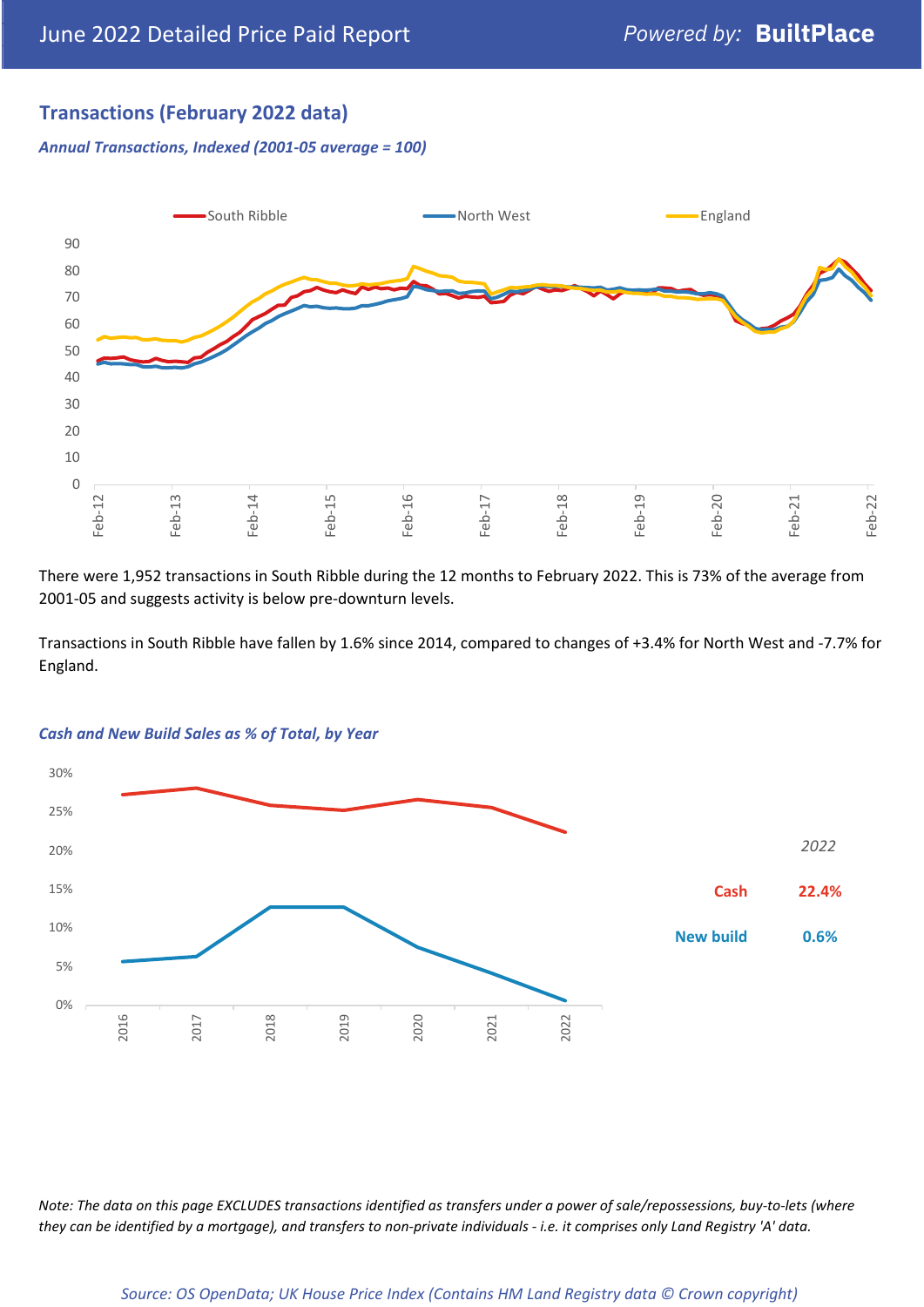## **Transactions (February 2022 data)**

*Annual Transactions, Indexed (2001-05 average = 100)*



There were 1,952 transactions in South Ribble during the 12 months to February 2022. This is 73% of the average from 2001-05 and suggests activity is below pre-downturn levels.

Transactions in South Ribble have fallen by 1.6% since 2014, compared to changes of +3.4% for North West and -7.7% for England.



#### *Cash and New Build Sales as % of Total, by Year*

*Note: The data on this page EXCLUDES transactions identified as transfers under a power of sale/repossessions, buy-to-lets (where they can be identified by a mortgage), and transfers to non-private individuals - i.e. it comprises only Land Registry 'A' data.*